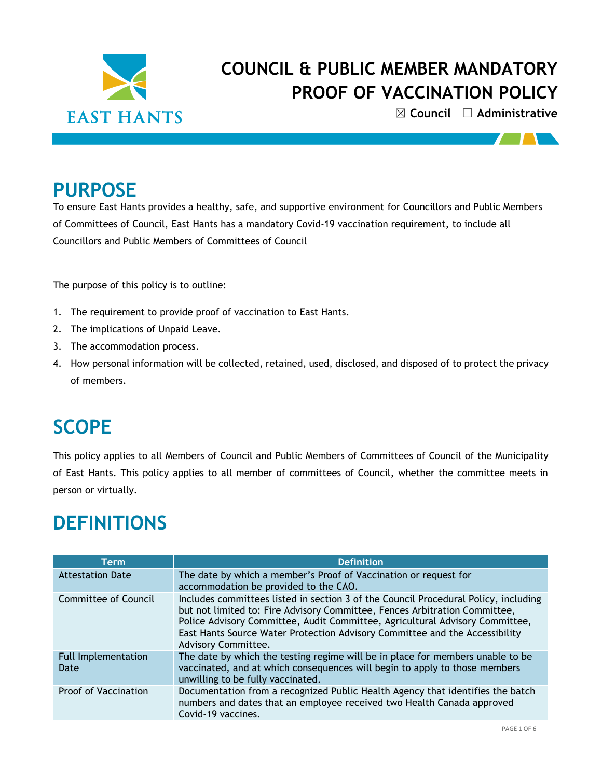

☒ **Council** ☐ **Administrative**

<u> TV 1</u>

### **PURPOSE**

To ensure East Hants provides a healthy, safe, and supportive environment for Councillors and Public Members of Committees of Council, East Hants has a mandatory Covid-19 vaccination requirement, to include all Councillors and Public Members of Committees of Council

The purpose of this policy is to outline:

- 1. The requirement to provide proof of vaccination to East Hants.
- 2. The implications of Unpaid Leave.
- 3. The accommodation process.
- 4. How personal information will be collected, retained, used, disclosed, and disposed of to protect the privacy of members.

### **SCOPE**

This policy applies to all Members of Council and Public Members of Committees of Council of the Municipality of East Hants. This policy applies to all member of committees of Council, whether the committee meets in person or virtually.

### **DEFINITIONS**

| Term                        | <b>Definition</b>                                                                                                                                                                                                                                                                                                                                       |  |  |  |
|-----------------------------|---------------------------------------------------------------------------------------------------------------------------------------------------------------------------------------------------------------------------------------------------------------------------------------------------------------------------------------------------------|--|--|--|
| <b>Attestation Date</b>     | The date by which a member's Proof of Vaccination or request for<br>accommodation be provided to the CAO.                                                                                                                                                                                                                                               |  |  |  |
| Committee of Council        | Includes committees listed in section 3 of the Council Procedural Policy, including<br>but not limited to: Fire Advisory Committee, Fences Arbitration Committee,<br>Police Advisory Committee, Audit Committee, Agricultural Advisory Committee,<br>East Hants Source Water Protection Advisory Committee and the Accessibility<br>Advisory Committee. |  |  |  |
| Full Implementation<br>Date | The date by which the testing regime will be in place for members unable to be<br>vaccinated, and at which consequences will begin to apply to those members<br>unwilling to be fully vaccinated.                                                                                                                                                       |  |  |  |
| Proof of Vaccination        | Documentation from a recognized Public Health Agency that identifies the batch<br>numbers and dates that an employee received two Health Canada approved<br>Covid-19 vaccines.                                                                                                                                                                          |  |  |  |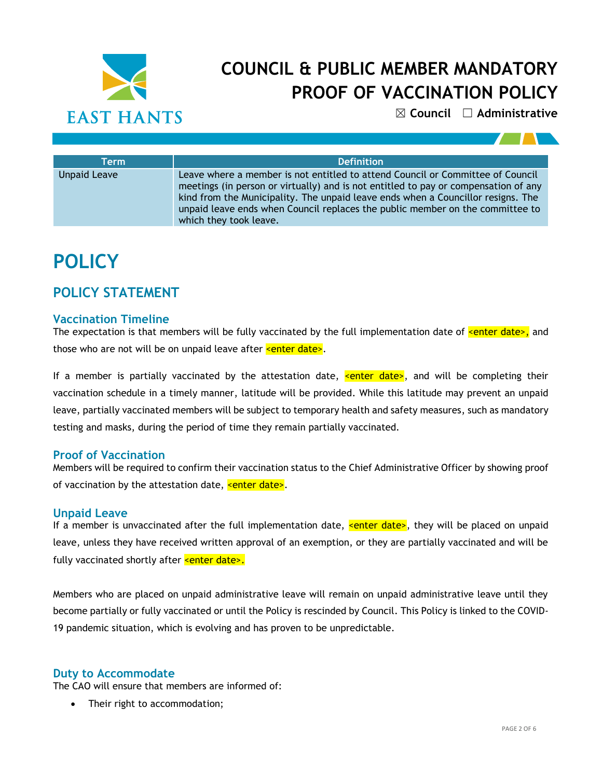

☒ **Council** ☐ **Administrative**

| Term                | <b>Definition</b>                                                                                                                                                                                                                                                                                                                                                    |  |  |
|---------------------|----------------------------------------------------------------------------------------------------------------------------------------------------------------------------------------------------------------------------------------------------------------------------------------------------------------------------------------------------------------------|--|--|
| <b>Unpaid Leave</b> | Leave where a member is not entitled to attend Council or Committee of Council<br>meetings (in person or virtually) and is not entitled to pay or compensation of any<br>kind from the Municipality. The unpaid leave ends when a Councillor resigns. The<br>unpaid leave ends when Council replaces the public member on the committee to<br>which they took leave. |  |  |

# **POLICY**

### **POLICY STATEMENT**

### **Vaccination Timeline**

The expectation is that members will be fully vaccinated by the full implementation date of  $\epsilon$ enter date>, and those who are not will be on unpaid leave after  $\leq$  enter date>.

If a member is partially vaccinated by the attestation date, senter date>, and will be completing their vaccination schedule in a timely manner, latitude will be provided. While this latitude may prevent an unpaid leave, partially vaccinated members will be subject to temporary health and safety measures, such as mandatory testing and masks, during the period of time they remain partially vaccinated.

### **Proof of Vaccination**

Members will be required to confirm their vaccination status to the Chief Administrative Officer by showing proof of vaccination by the attestation date,  $\leq$  enter date>.

### **Unpaid Leave**

If a member is unvaccinated after the full implementation date,  $\leq$  enter date>, they will be placed on unpaid leave, unless they have received written approval of an exemption, or they are partially vaccinated and will be fully vaccinated shortly after **<enter date>.** 

Members who are placed on unpaid administrative leave will remain on unpaid administrative leave until they become partially or fully vaccinated or until the Policy is rescinded by Council. This Policy is linked to the COVID-19 pandemic situation, which is evolving and has proven to be unpredictable.

#### **Duty to Accommodate**

The CAO will ensure that members are informed of:

Their right to accommodation;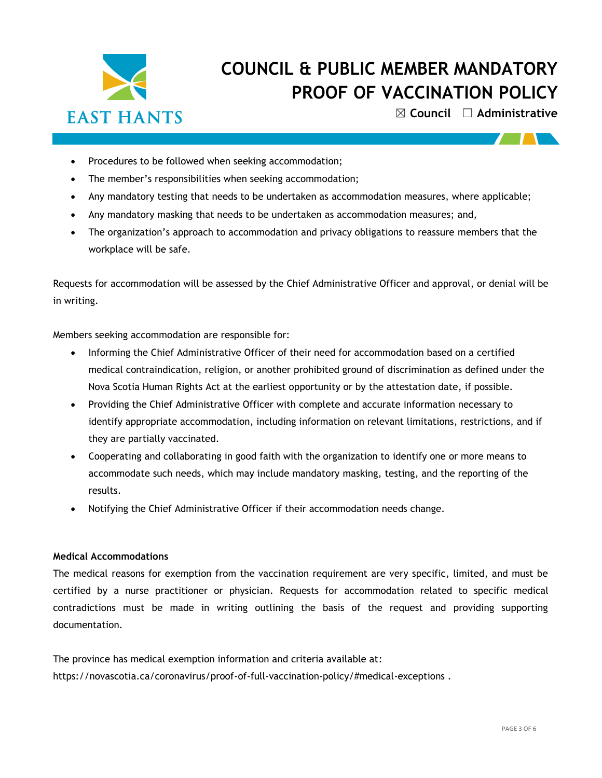

☒ **Council** ☐ **Administrative**

- Procedures to be followed when seeking accommodation;
- The member's responsibilities when seeking accommodation;
- Any mandatory testing that needs to be undertaken as accommodation measures, where applicable;
- Any mandatory masking that needs to be undertaken as accommodation measures; and,
- The organization's approach to accommodation and privacy obligations to reassure members that the workplace will be safe.

Requests for accommodation will be assessed by the Chief Administrative Officer and approval, or denial will be in writing.

Members seeking accommodation are responsible for:

- Informing the Chief Administrative Officer of their need for accommodation based on a certified medical contraindication, religion, or another prohibited ground of discrimination as defined under the Nova Scotia Human Rights Act at the earliest opportunity or by the attestation date, if possible.
- Providing the Chief Administrative Officer with complete and accurate information necessary to identify appropriate accommodation, including information on relevant limitations, restrictions, and if they are partially vaccinated.
- Cooperating and collaborating in good faith with the organization to identify one or more means to accommodate such needs, which may include mandatory masking, testing, and the reporting of the results.
- Notifying the Chief Administrative Officer if their accommodation needs change.

#### **Medical Accommodations**

The medical reasons for exemption from the vaccination requirement are very specific, limited, and must be certified by a nurse practitioner or physician. Requests for accommodation related to specific medical contradictions must be made in writing outlining the basis of the request and providing supporting documentation.

The province has medical exemption information and criteria available at: <https://novascotia.ca/coronavirus/proof-of-full-vaccination-policy/#medical-exceptions> .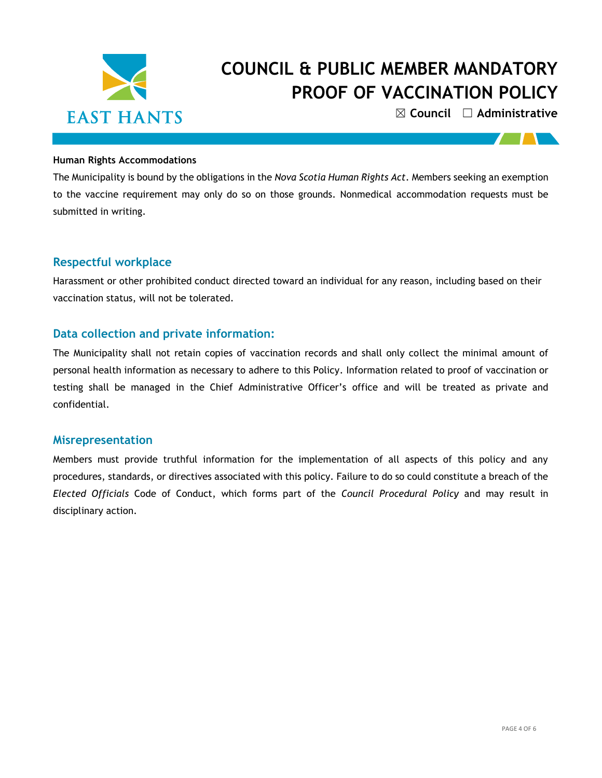

☒ **Council** ☐ **Administrative**

 $\mathbf{I}$ 

#### **Human Rights Accommodations**

The Municipality is bound by the obligations in the *Nova Scotia Human Rights Act*. Members seeking an exemption to the vaccine requirement may only do so on those grounds. Nonmedical accommodation requests must be submitted in writing.

### **Respectful workplace**

Harassment or other prohibited conduct directed toward an individual for any reason, including based on their vaccination status, will not be tolerated.

### **Data collection and private information:**

The Municipality shall not retain copies of vaccination records and shall only collect the minimal amount of personal health information as necessary to adhere to this Policy. Information related to proof of vaccination or testing shall be managed in the Chief Administrative Officer's office and will be treated as private and confidential.

#### **Misrepresentation**

Members must provide truthful information for the implementation of all aspects of this policy and any procedures, standards, or directives associated with this policy. Failure to do so could constitute a breach of the *Elected Officials* Code of Conduct, which forms part of the *Council Procedural Policy* and may result in disciplinary action.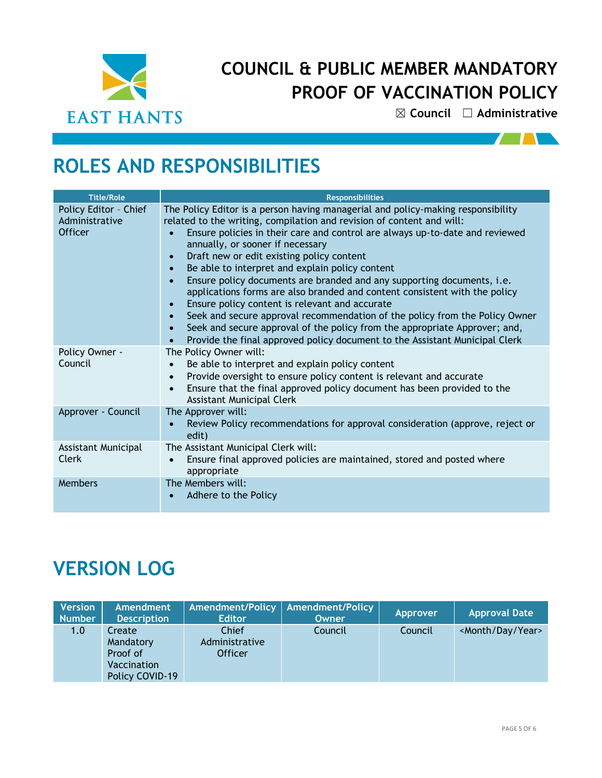

☒ **Council** ☐ **Administrative**

 $\sqrt{11}$ 

# **ROLES AND RESPONSIBILITIES**

| <b>Title/Role</b>                                         | <b>Responsibilities</b>                                                                                                                                                                                                                                                                                                                                                                                                                                                                                                                                                                                                                                                                                                                                                                                                                                                                                           |  |  |  |  |
|-----------------------------------------------------------|-------------------------------------------------------------------------------------------------------------------------------------------------------------------------------------------------------------------------------------------------------------------------------------------------------------------------------------------------------------------------------------------------------------------------------------------------------------------------------------------------------------------------------------------------------------------------------------------------------------------------------------------------------------------------------------------------------------------------------------------------------------------------------------------------------------------------------------------------------------------------------------------------------------------|--|--|--|--|
| Policy Editor - Chief<br>Administrative<br><b>Officer</b> | The Policy Editor is a person having managerial and policy-making responsibility<br>related to the writing, compilation and revision of content and will:<br>Ensure policies in their care and control are always up-to-date and reviewed<br>annually, or sooner if necessary<br>Draft new or edit existing policy content<br>$\bullet$<br>Be able to interpret and explain policy content<br>$\bullet$<br>Ensure policy documents are branded and any supporting documents, i.e.<br>$\bullet$<br>applications forms are also branded and content consistent with the policy<br>Ensure policy content is relevant and accurate<br>Seek and secure approval recommendation of the policy from the Policy Owner<br>$\bullet$<br>Seek and secure approval of the policy from the appropriate Approver; and,<br>$\bullet$<br>Provide the final approved policy document to the Assistant Municipal Clerk<br>$\bullet$ |  |  |  |  |
| Policy Owner -<br>Council                                 | The Policy Owner will:<br>Be able to interpret and explain policy content<br>$\bullet$<br>Provide oversight to ensure policy content is relevant and accurate<br>$\bullet$<br>Ensure that the final approved policy document has been provided to the<br>$\bullet$<br><b>Assistant Municipal Clerk</b>                                                                                                                                                                                                                                                                                                                                                                                                                                                                                                                                                                                                            |  |  |  |  |
| Approver - Council                                        | The Approver will:<br>Review Policy recommendations for approval consideration (approve, reject or<br>edit)                                                                                                                                                                                                                                                                                                                                                                                                                                                                                                                                                                                                                                                                                                                                                                                                       |  |  |  |  |
| Assistant Municipal<br>Clerk                              | The Assistant Municipal Clerk will:<br>Ensure final approved policies are maintained, stored and posted where<br>$\bullet$<br>appropriate                                                                                                                                                                                                                                                                                                                                                                                                                                                                                                                                                                                                                                                                                                                                                                         |  |  |  |  |
| <b>Members</b>                                            | The Members will:<br>Adhere to the Policy                                                                                                                                                                                                                                                                                                                                                                                                                                                                                                                                                                                                                                                                                                                                                                                                                                                                         |  |  |  |  |

# **VERSION LOG**

| <b>Version</b><br><b>Number</b> | Amendment<br><b>Description</b>                                   | <b>Amendment/Policy</b><br><b>Editor</b>  | <b>Amendment/Policy</b><br>Owner | Approver | <b>Approval Date</b>           |
|---------------------------------|-------------------------------------------------------------------|-------------------------------------------|----------------------------------|----------|--------------------------------|
| 1.0                             | Create<br>Mandatory<br>Proof of<br>Vaccination<br>Policy COVID-19 | Chief<br>Administrative<br><b>Officer</b> | Council                          | Council  | <month day="" year=""></month> |